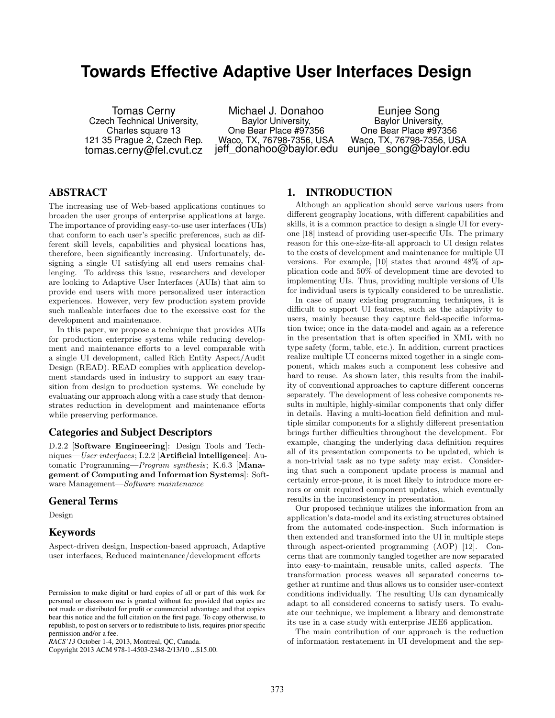# **Towards Effective Adaptive User Interfaces Design**

Tomas Cerny Czech Technical University, Charles square 13 121 35 Prague 2, Czech Rep. tomas.cerny@fel.cvut.cz

Michael J. Donahoo Baylor University, One Bear Place #97356 Waco, TX, 76798-7356, USA jeff\_donahoo@baylor.edu

Eunjee Song Baylor University, One Bear Place #97356 Waco, TX, 76798-7356, USA eunjee\_song@baylor.edu

# ABSTRACT

The increasing use of Web-based applications continues to broaden the user groups of enterprise applications at large. The importance of providing easy-to-use user interfaces (UIs) that conform to each user's specific preferences, such as different skill levels, capabilities and physical locations has, therefore, been significantly increasing. Unfortunately, designing a single UI satisfying all end users remains challenging. To address this issue, researchers and developer are looking to Adaptive User Interfaces (AUIs) that aim to provide end users with more personalized user interaction experiences. However, very few production system provide such malleable interfaces due to the excessive cost for the development and maintenance.

In this paper, we propose a technique that provides AUIs for production enterprise systems while reducing development and maintenance efforts to a level comparable with a single UI development, called Rich Entity Aspect/Audit Design (READ). READ complies with application development standards used in industry to support an easy transition from design to production systems. We conclude by evaluating our approach along with a case study that demonstrates reduction in development and maintenance efforts while preserving performance.

# Categories and Subject Descriptors

D.2.2 [Software Engineering]: Design Tools and Techniques—User interfaces; I.2.2 [Artificial intelligence]: Automatic Programming—Program synthesis; K.6.3 [Management of Computing and Information Systems]: Software Management—Software maintenance

#### General Terms

Design

#### Keywords

Aspect-driven design, Inspection-based approach, Adaptive user interfaces, Reduced maintenance/development efforts

Copyright 2013 ACM 978-1-4503-2348-2/13/10 ...\$15.00.

#### 1. INTRODUCTION

Although an application should serve various users from different geography locations, with different capabilities and skills, it is a common practice to design a single UI for everyone [18] instead of providing user-specific UIs. The primary reason for this one-size-fits-all approach to UI design relates to the costs of development and maintenance for multiple UI versions. For example, [10] states that around 48% of application code and 50% of development time are devoted to implementing UIs. Thus, providing multiple versions of UIs for individual users is typically considered to be unrealistic.

In case of many existing programming techniques, it is difficult to support UI features, such as the adaptivity to users, mainly because they capture field-specific information twice; once in the data-model and again as a reference in the presentation that is often specified in XML with no type safety (form, table, etc.). In addition, current practices realize multiple UI concerns mixed together in a single component, which makes such a component less cohesive and hard to reuse. As shown later, this results from the inability of conventional approaches to capture different concerns separately. The development of less cohesive components results in multiple, highly-similar components that only differ in details. Having a multi-location field definition and multiple similar components for a slightly different presentation brings further difficulties throughout the development. For example, changing the underlying data definition requires all of its presentation components to be updated, which is a non-trivial task as no type safety may exist. Considering that such a component update process is manual and certainly error-prone, it is most likely to introduce more errors or omit required component updates, which eventually results in the inconsistency in presentation.

Our proposed technique utilizes the information from an application's data-model and its existing structures obtained from the automated code-inspection. Such information is then extended and transformed into the UI in multiple steps through aspect-oriented programming (AOP) [12]. Concerns that are commonly tangled together are now separated into easy-to-maintain, reusable units, called aspects. The transformation process weaves all separated concerns together at runtime and thus allows us to consider user-context conditions individually. The resulting UIs can dynamically adapt to all considered concerns to satisfy users. To evaluate our technique, we implement a library and demonstrate its use in a case study with enterprise JEE6 application.

The main contribution of our approach is the reduction of information restatement in UI development and the sep-

Permission to make digital or hard copies of all or part of this work for personal or classroom use is granted without fee provided that copies are not made or distributed for profit or commercial advantage and that copies bear this notice and the full citation on the first page. To copy otherwise, to republish, to post on servers or to redistribute to lists, requires prior specific permission and/or a fee.

*RACS'13* October 1-4, 2013, Montreal, QC, Canada.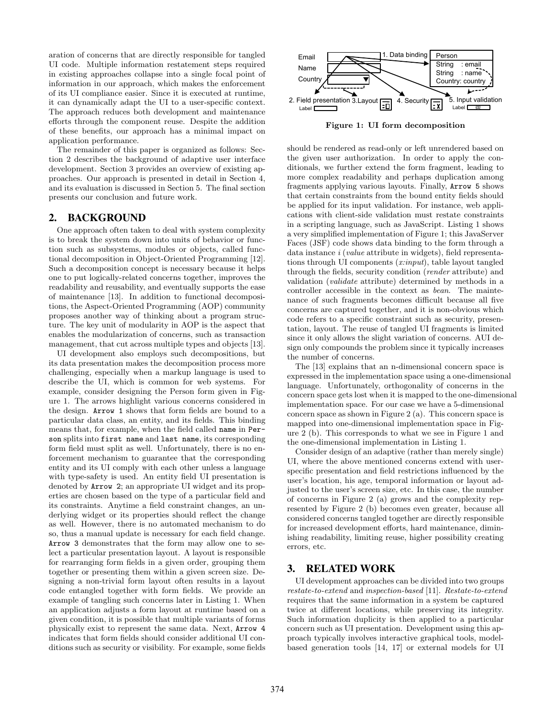aration of concerns that are directly responsible for tangled UI code. Multiple information restatement steps required in existing approaches collapse into a single focal point of information in our approach, which makes the enforcement of its UI compliance easier. Since it is executed at runtime, it can dynamically adapt the UI to a user-specific context. The approach reduces both development and maintenance efforts through the component reuse. Despite the addition of these benefits, our approach has a minimal impact on application performance.

The remainder of this paper is organized as follows: Section 2 describes the background of adaptive user interface development. Section 3 provides an overview of existing approaches. Our approach is presented in detail in Section 4, and its evaluation is discussed in Section 5. The final section presents our conclusion and future work.

#### 2. BACKGROUND

One approach often taken to deal with system complexity is to break the system down into units of behavior or function such as subsystems, modules or objects, called functional decomposition in Object-Oriented Programming [12]. Such a decomposition concept is necessary because it helps one to put logically-related concerns together, improves the readability and reusability, and eventually supports the ease of maintenance [13]. In addition to functional decompositions, the Aspect-Oriented Programming (AOP) community proposes another way of thinking about a program structure. The key unit of modularity in AOP is the aspect that enables the modularization of concerns, such as transaction management, that cut across multiple types and objects [13].

UI development also employs such decompositions, but its data presentation makes the decomposition process more challenging, especially when a markup language is used to describe the UI, which is common for web systems. For example, consider designing the Person form given in Figure 1. The arrows highlight various concerns considered in the design. Arrow 1 shows that form fields are bound to a particular data class, an entity, and its fields. This binding means that, for example, when the field called name in Person splits into first name and last name, its corresponding form field must split as well. Unfortunately, there is no enforcement mechanism to guarantee that the corresponding entity and its UI comply with each other unless a language with type-safety is used. An entity field UI presentation is denoted by Arrow 2; an appropriate UI widget and its properties are chosen based on the type of a particular field and its constraints. Anytime a field constraint changes, an underlying widget or its properties should reflect the change as well. However, there is no automated mechanism to do so, thus a manual update is necessary for each field change. Arrow 3 demonstrates that the form may allow one to select a particular presentation layout. A layout is responsible for rearranging form fields in a given order, grouping them together or presenting them within a given screen size. Designing a non-trivial form layout often results in a layout code entangled together with form fields. We provide an example of tangling such concerns later in Listing 1. When an application adjusts a form layout at runtime based on a given condition, it is possible that multiple variants of forms physically exist to represent the same data. Next, Arrow 4 indicates that form fields should consider additional UI conditions such as security or visibility. For example, some fields



Figure 1: UI form decomposition

should be rendered as read-only or left unrendered based on the given user authorization. In order to apply the conditionals, we further extend the form fragment, leading to more complex readability and perhaps duplication among fragments applying various layouts. Finally, Arrow 5 shows that certain constraints from the bound entity fields should be applied for its input validation. For instance, web applications with client-side validation must restate constraints in a scripting language, such as JavaScript. Listing 1 shows a very simplified implementation of Figure 1; this JavaServer Faces (JSF) code shows data binding to the form through a data instance i (value attribute in widgets), field representations through UI components (x:input), table layout tangled through the fields, security condition (*render* attribute) and validation (validate attribute) determined by methods in a controller accessible in the context as bean. The maintenance of such fragments becomes difficult because all five concerns are captured together, and it is non-obvious which code refers to a specific constraint such as security, presentation, layout. The reuse of tangled UI fragments is limited since it only allows the slight variation of concerns. AUI design only compounds the problem since it typically increases the number of concerns.

The [13] explains that an n-dimensional concern space is expressed in the implementation space using a one-dimensional language. Unfortunately, orthogonality of concerns in the concern space gets lost when it is mapped to the one-dimensional implementation space. For our case we have a 5-dimensional concern space as shown in Figure 2 (a). This concern space is mapped into one-dimensional implementation space in Figure 2 (b). This corresponds to what we see in Figure 1 and the one-dimensional implementation in Listing 1.

Consider design of an adaptive (rather than merely single) UI, where the above mentioned concerns extend with userspecific presentation and field restrictions influenced by the user's location, his age, temporal information or layout adjusted to the user's screen size, etc. In this case, the number of concerns in Figure 2 (a) grows and the complexity represented by Figure 2 (b) becomes even greater, because all considered concerns tangled together are directly responsible for increased development efforts, hard maintenance, diminishing readability, limiting reuse, higher possibility creating errors, etc.

# 3. RELATED WORK

UI development approaches can be divided into two groups restate-to-extend and inspection-based [11]. Restate-to-extend requires that the same information in a system be captured twice at different locations, while preserving its integrity. Such information duplicity is then applied to a particular concern such as UI presentation. Development using this approach typically involves interactive graphical tools, modelbased generation tools [14, 17] or external models for UI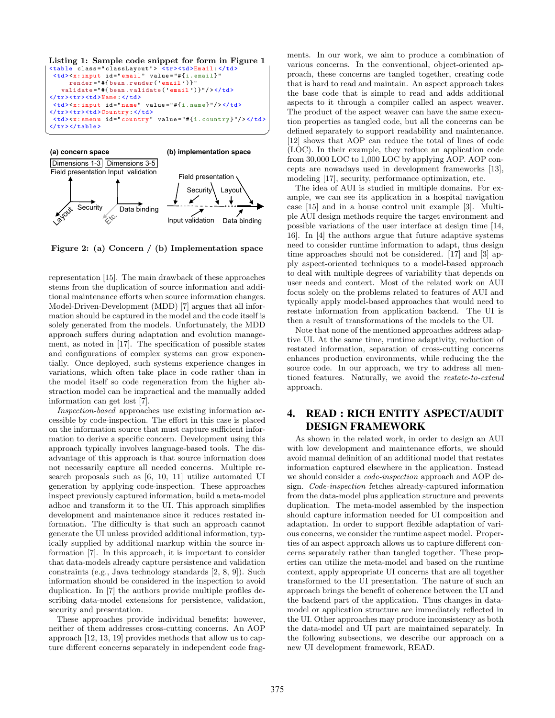```
Listing 1: Sample code snippet for form in Figure 1
 < tab le class =" classLayout "> <tr ><td >Em ail: </ td >
  <td ><x: inpu t id =" email " value ="#{ i. emai l}"
      ren der ="#{ bean .r ender ('email ')}"
    validate="#{bean.validate('email')}"/></td>
 \langle/tr><tr><td>Name:\langle/td>
  <td><x:input id="name" value="#{i.name}"/></td>
 </tr><tr><td>Country:</td><br><td><x:smenu id="country"
                                 value = "#{ i . country }"/></td>
 </ tr > </ table >
\begin{pmatrix} 1 & 1 & 1 \\ 1 & 1 & 1 \\ 1 & 1 & 1 \end{pmatrix}
```


Figure 2: (a) Concern / (b) Implementation space

representation [15]. The main drawback of these approaches stems from the duplication of source information and additional maintenance efforts when source information changes. Model-Driven-Development (MDD) [7] argues that all information should be captured in the model and the code itself is solely generated from the models. Unfortunately, the MDD approach suffers during adaptation and evolution management, as noted in [17]. The specification of possible states and configurations of complex systems can grow exponentially. Once deployed, such systems experience changes in variations, which often take place in code rather than in the model itself so code regeneration from the higher abstraction model can be impractical and the manually added information can get lost [7].

Inspection-based approaches use existing information accessible by code-inspection. The effort in this case is placed on the information source that must capture sufficient information to derive a specific concern. Development using this approach typically involves language-based tools. The disadvantage of this approach is that source information does not necessarily capture all needed concerns. Multiple research proposals such as [6, 10, 11] utilize automated UI generation by applying code-inspection. These approaches inspect previously captured information, build a meta-model adhoc and transform it to the UI. This approach simplifies development and maintenance since it reduces restated information. The difficulty is that such an approach cannot generate the UI unless provided additional information, typically supplied by additional markup within the source information [7]. In this approach, it is important to consider that data-models already capture persistence and validation constraints (e.g., Java technology standards [2, 8, 9]). Such information should be considered in the inspection to avoid duplication. In [7] the authors provide multiple profiles describing data-model extensions for persistence, validation, security and presentation.

These approaches provide individual benefits; however, neither of them addresses cross-cutting concerns. An AOP approach [12, 13, 19] provides methods that allow us to capture different concerns separately in independent code fragments. In our work, we aim to produce a combination of various concerns. In the conventional, object-oriented approach, these concerns are tangled together, creating code that is hard to read and maintain. An aspect approach takes the base code that is simple to read and adds additional aspects to it through a compiler called an aspect weaver. The product of the aspect weaver can have the same execution properties as tangled code, but all the concerns can be defined separately to support readability and maintenance. [12] shows that AOP can reduce the total of lines of code (LOC). In their example, they reduce an application code from 30,000 LOC to 1,000 LOC by applying AOP. AOP concepts are nowadays used in development frameworks [13], modeling [17], security, performance optimization, etc.

The idea of AUI is studied in multiple domains. For example, we can see its application in a hospital navigation case [15] and in a house control unit example [3]. Multiple AUI design methods require the target environment and possible variations of the user interface at design time [14, 16]. In [4] the authors argue that future adaptive systems need to consider runtime information to adapt, thus design time approaches should not be considered. [17] and [3] apply aspect-oriented techniques to a model-based approach to deal with multiple degrees of variability that depends on user needs and context. Most of the related work on AUI focus solely on the problems related to features of AUI and typically apply model-based approaches that would need to restate information from application backend. The UI is then a result of transformations of the models to the UI.

Note that none of the mentioned approaches address adaptive UI. At the same time, runtime adaptivity, reduction of restated information, separation of cross-cutting concerns enhances production environments, while reducing the the source code. In our approach, we try to address all mentioned features. Naturally, we avoid the restate-to-extend approach.

# 4. READ : RICH ENTITY ASPECT/AUDIT DESIGN FRAMEWORK

As shown in the related work, in order to design an AUI with low development and maintenance efforts, we should avoid manual definition of an additional model that restates information captured elsewhere in the application. Instead we should consider a code-inspection approach and AOP design. Code-inspection fetches already-captured information from the data-model plus application structure and prevents duplication. The meta-model assembled by the inspection should capture information needed for UI composition and adaptation. In order to support flexible adaptation of various concerns, we consider the runtime aspect model. Properties of an aspect approach allows us to capture different concerns separately rather than tangled together. These properties can utilize the meta-model and based on the runtime context, apply appropriate UI concerns that are all together transformed to the UI presentation. The nature of such an approach brings the benefit of coherence between the UI and the backend part of the application. Thus changes in datamodel or application structure are immediately reflected in the UI. Other approaches may produce inconsistency as both the data-model and UI part are maintained separately. In the following subsections, we describe our approach on a new UI development framework, READ.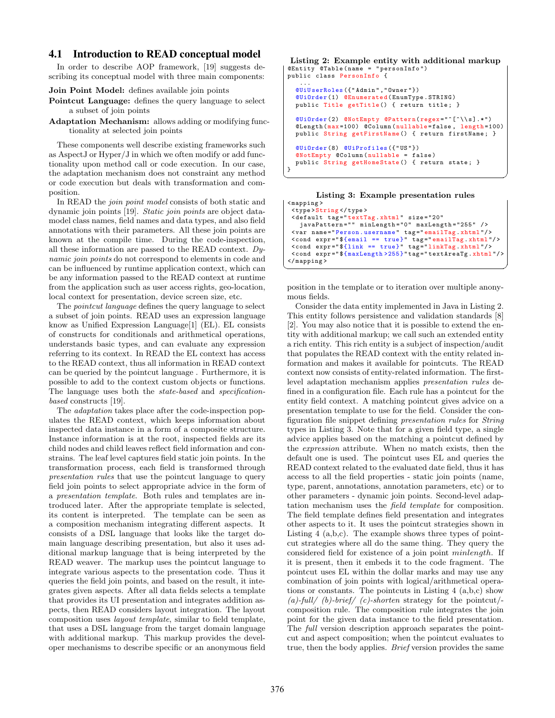#### 4.1 Introduction to READ conceptual model

In order to describe AOP framework, [19] suggests describing its conceptual model with three main components:

Join Point Model: defines available join points

- Pointcut Language: defines the query language to select a subset of join points
- Adaptation Mechanism: allows adding or modifying functionality at selected join points

These components well describe existing frameworks such as AspectJ or Hyper/J in which we often modify or add functionality upon method call or code execution. In our case, the adaptation mechanism does not constraint any method or code execution but deals with transformation and composition.

In READ the *join point model* consists of both static and dynamic join points [19]. Static join points are object datamodel class names, field names and data types, and also field annotations with their parameters. All these join points are known at the compile time. During the code-inspection, all these information are passed to the READ context. Dynamic join points do not correspond to elements in code and can be influenced by runtime application context, which can be any information passed to the READ context at runtime from the application such as user access rights, geo-location, local context for presentation, device screen size, etc.

The pointcut language defines the query language to select a subset of join points. READ uses an expression language know as Unified Expression Language[1] (EL). EL consists of constructs for conditionals and arithmetical operations, understands basic types, and can evaluate any expression referring to its context. In READ the EL context has access to the READ context, thus all information in READ context can be queried by the pointcut language . Furthermore, it is possible to add to the context custom objects or functions. The language uses both the state-based and specificationbased constructs [19].

The *adaptation* takes place after the code-inspection populates the READ context, which keeps information about inspected data instance in a form of a composite structure. Instance information is at the root, inspected fields are its child nodes and child leaves reflect field information and constrains. The leaf level captures field static join points. In the transformation process, each field is transformed through presentation rules that use the pointcut language to query field join points to select appropriate advice in the form of a presentation template. Both rules and templates are introduced later. After the appropriate template is selected, its content is interpreted. The template can be seen as a composition mechanism integrating different aspects. It consists of a DSL language that looks like the target domain language describing presentation, but also it uses additional markup language that is being interpreted by the READ weaver. The markup uses the pointcut language to integrate various aspects to the presentation code. Thus it queries the field join points, and based on the result, it integrates given aspects. After all data fields selects a template that provides its UI presentation and integrates addition aspects, then READ considers layout integration. The layout composition uses layout template, similar to field template, that uses a DSL language from the target domain language with additional markup. This markup provides the developer mechanisms to describe specific or an anonymous field

Listing 2: Example entity with additional markup @Entity @Table ( name = " personInfo ") public class PersonInfo { ... @UiU serRoles ({" Admin " ," Owner "}) @UiOrde r (1) @Enumerate d( EnumType . STRING ) public Title getTitle() { return title; } @UiOrder(2) @NotEmpty @Pattern(regex="^[^\\s].\*") @Length ( max =100) @Column ( nullable = false , length =100) public String getFirstName () { return firstName; } @UiOrde r (8) @UiProfi les ({" US "})  $@NotEmpty$   $@Column$  ( $nullable = false$ ) public String getHomeState() { return state; } }

#### Listing 3: Example presentation rules

✝ ✆

```
< mapping >
  <type >String </ type >
  < default tag =" textTag . xhtml " size ="20"
    javaPattern ="" minLength ="0" maxLength ="255" />
  <var name="Person.username" tag="emailTag.xhtml"/>
  <cond expr="${email == true}" tag="emailTag.xhtml"/>
  \frac{1}{2} < cond expr="${link == true}" tag="linkTag.xhtml"/>
  < cond expr =" ${ maxLength >255 }" tag =" textAreaTg . xhtml "/ >
 </ mapping >
\begin{array}{|c|c|c|c|}\hline \cdots&\ddots&\ddots&\hline \end{array}
```
position in the template or to iteration over multiple anonymous fields.

Consider the data entity implemented in Java in Listing 2. This entity follows persistence and validation standards [8] [2]. You may also notice that it is possible to extend the entity with additional markup; we call such an extended entity a rich entity. This rich entity is a subject of inspection/audit that populates the READ context with the entity related information and makes it available for pointcuts. The READ context now consists of entity-related information. The firstlevel adaptation mechanism applies presentation rules defined in a configuration file. Each rule has a pointcut for the entity field context. A matching pointcut gives advice on a presentation template to use for the field. Consider the configuration file snippet defining presentation rules for String types in Listing 3. Note that for a given field type, a single advice applies based on the matching a pointcut defined by the expression attribute. When no match exists, then the default one is used. The pointcut uses EL and queries the READ context related to the evaluated date field, thus it has access to all the field properties - static join points (name, type, parent, annotations, annotation parameters, etc) or to other parameters - dynamic join points. Second-level adaptation mechanism uses the field template for composition. The field template defines field presentation and integrates other aspects to it. It uses the pointcut strategies shown in Listing 4 (a,b,c). The example shows three types of pointcut strategies where all do the same thing. They query the considered field for existence of a join point minlength. If it is present, then it embeds it to the code fragment. The pointcut uses EL within the dollar marks and may use any combination of join points with logical/arithmetical operations or constants. The pointcuts in Listing 4 (a,b,c) show (a)-full/ (b)-brief/ (c)-shorten strategy for the pointcut/composition rule. The composition rule integrates the join point for the given data instance to the field presentation. The full version description approach separates the pointcut and aspect composition; when the pointcut evaluates to true, then the body applies. Brief version provides the same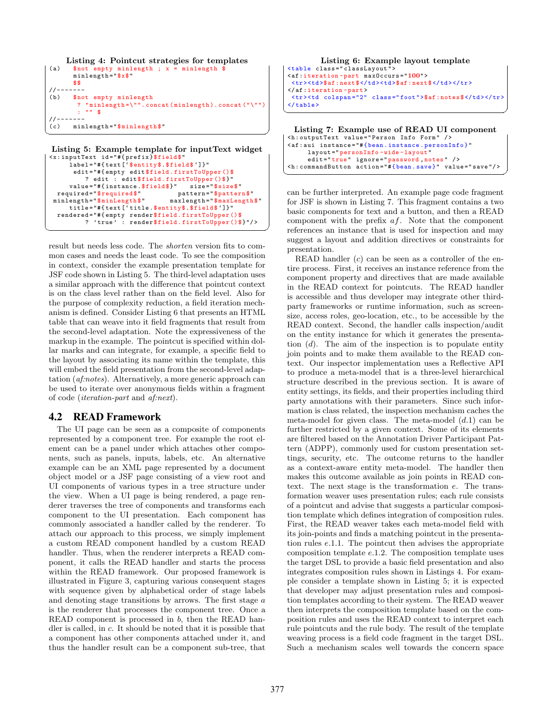```
Listing 4: Pointcut strategies for templates
(a) \text{short empty minlength}; x = minlength $
       minlength ="$x$"
       $$
// - - - - - - -
       $ not empty minlength
        ? " minlength =\"". concat ( minlength ). concat ("\"")
          ^{\circ} " ^{\circ} $
11 -(c) minlength ="$ minlength $"
```
Listing 5: Example template for inputText widget <x: inputText id ="#{ prefix }\$ field \$" label="#{text['\$entity\$.\$field\$']}"

 $\begin{pmatrix} 1 & 1 & 1 \\ 1 & 1 & 1 \\ 1 & 1 & 1 \end{pmatrix}$ 

```
edit ="#{ empty edit $ field . firstToUpper () $
           ? edit : edit$field.firstToUpper()$}"<br>e="#{instance.$field$}" size="$size$"
      value="#{instance.$field$}" size="$ size$"<br>uired="$ required$" pattern="$ pattern$"
required="$required$"<br>"$minlength="$minLength$
                                          maxlength="$maxLength$"
     title ="#{ text [' title .$ entity $.$ field $ ']}"
 rendered ="#{ empty render $ field . firstToUpper () $
           ? 'true' : render $field.firstToUpper() $}"/>
```
 $\begin{pmatrix} 1 & 1 & 1 \\ 1 & 1 & 1 \\ 1 & 1 & 1 \end{pmatrix}$ 

result but needs less code. The shorten version fits to common cases and needs the least code. To see the composition in context, consider the example presentation template for JSF code shown in Listing 5. The third-level adaptation uses a similar approach with the difference that pointcut context is on the class level rather than on the field level. Also for the purpose of complexity reduction, a field iteration mechanism is defined. Consider Listing 6 that presents an HTML table that can weave into it field fragments that result from the second-level adaptation. Note the expressiveness of the markup in the example. The pointcut is specified within dollar marks and can integrate, for example, a specific field to the layout by associating its name within the template, this will embed the field presentation from the second-level adaptation (af:notes). Alternatively, a more generic approach can be used to iterate over anonymous fields within a fragment of code (iteration-part and af:next).

# 4.2 READ Framework

The UI page can be seen as a composite of components represented by a component tree. For example the root element can be a panel under which attaches other components, such as panels, inputs, labels, etc. An alternative example can be an XML page represented by a document object model or a JSF page consisting of a view root and UI components of various types in a tree structure under the view. When a UI page is being rendered, a page renderer traverses the tree of components and transforms each component to the UI presentation. Each component has commonly associated a handler called by the renderer. To attach our approach to this process, we simply implement a custom READ component handled by a custom READ handler. Thus, when the renderer interprets a READ component, it calls the READ handler and starts the process within the READ framework. Our proposed framework is illustrated in Figure 3, capturing various consequent stages with sequence given by alphabetical order of stage labels and denoting stage transitions by arrows. The first stage a is the renderer that processes the component tree. Once a READ component is processed in b, then the READ handler is called, in c. It should be noted that it is possible that a component has other components attached under it, and thus the handler result can be a component sub-tree, that

```
Listing 6: Example layout template
 < tab le class =" classLayout ">
 <af :i teration - part maxOccurs ="100">
  \langletr>\langletd>\deltaaf:next$\langle/td>\langletd>\deltaaf:next$\langle/td>\langle/tr>
 </ af :i teration - part >
  <tr ><td colspan ="2" class =" foot " >$ af : notes $ </ td > </ tr >
 </ table >
\begin{pmatrix} 1 & 1 & 1 \\ 1 & 1 & 1 \\ 1 & 1 & 1 \end{pmatrix}
```

```
Listing 7: Example use of READ UI component
 <h: outputText value =" Person Info Form " />
 \fractivential control in terms in the set of the set of the set of the set of the set of the set of the set of the set of the set of the set of the set of the set of the set of the set of the set of the set of the set of 
         layout =" personInfo - wide - layout "
         edit = " true " ignore = " password, notes " />
 <h: commandButton action ="#{ bean . save }" value =" save "/ >
\begin{pmatrix} 1 & 1 & 1 \\ 1 & 1 & 1 \\ 1 & 1 & 1 \end{pmatrix}
```
can be further interpreted. An example page code fragment for JSF is shown in Listing 7. This fragment contains a two basic components for text and a button, and then a READ component with the prefix af. Note that the component references an instance that is used for inspection and may suggest a layout and addition directives or constraints for presentation.

READ handler  $(c)$  can be seen as a controller of the entire process. First, it receives an instance reference from the component property and directives that are made available in the READ context for pointcuts. The READ handler is accessible and thus developer may integrate other thirdparty frameworks or runtime information, such as screensize, access roles, geo-location, etc., to be accessible by the READ context. Second, the handler calls inspection/audit on the entity instance for which it generates the presentation  $(d)$ . The aim of the inspection is to populate entity join points and to make them available to the READ context. Our inspector implementation uses a Reflective API to produce a meta-model that is a three-level hierarchical structure described in the previous section. It is aware of entity settings, its fields, and their properties including third party annotations with their parameters. Since such information is class related, the inspection mechanism caches the meta-model for given class. The meta-model  $(d.1)$  can be further restricted by a given context. Some of its elements are filtered based on the Annotation Driver Participant Pattern (ADPP), commonly used for custom presentation settings, security, etc. The outcome returns to the handler as a context-aware entity meta-model. The handler then makes this outcome available as join points in READ context. The next stage is the transformation e. The transformation weaver uses presentation rules; each rule consists of a pointcut and advise that suggests a particular composition template which defines integration of composition rules. First, the READ weaver takes each meta-model field with its join-points and finds a matching pointcut in the presentation rules e.1.1. The pointcut then advises the appropriate composition template e.1.2. The composition template uses the target DSL to provide a basic field presentation and also integrates composition rules shown in Listings 4. For example consider a template shown in Listing 5; it is expected that developer may adjust presentation rules and composition templates according to their system. The READ weaver then interprets the composition template based on the composition rules and uses the READ context to interpret each rule pointcuts and the rule body. The result of the template weaving process is a field code fragment in the target DSL. Such a mechanism scales well towards the concern space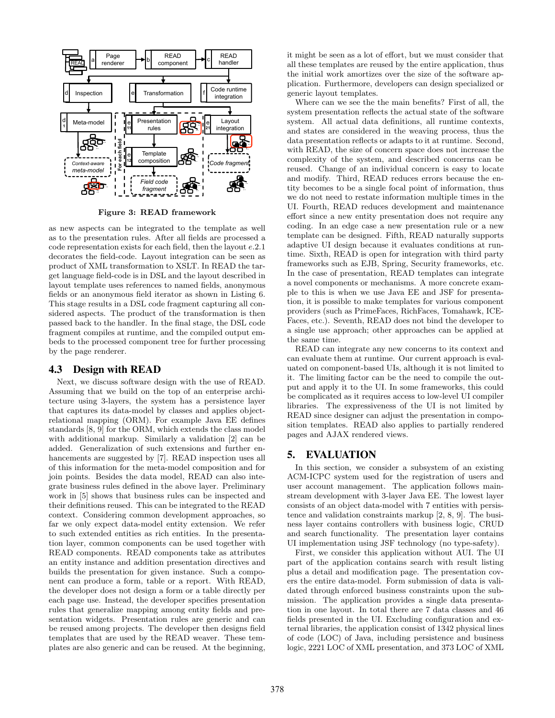

Figure 3: READ framework

as new aspects can be integrated to the template as well as to the presentation rules. After all fields are processed a code representation exists for each field, then the layout e.2.1 decorates the field-code. Layout integration can be seen as product of XML transformation to XSLT. In READ the target language field-code is in DSL and the layout described in layout template uses references to named fields, anonymous fields or an anonymous field iterator as shown in Listing 6. This stage results in a DSL code fragment capturing all considered aspects. The product of the transformation is then passed back to the handler. In the final stage, the DSL code fragment compiles at runtime, and the compiled output embeds to the processed component tree for further processing by the page renderer.

#### 4.3 Design with READ

Next, we discuss software design with the use of READ. Assuming that we build on the top of an enterprise architecture using 3-layers, the system has a persistence layer that captures its data-model by classes and applies objectrelational mapping (ORM). For example Java EE defines standards [8, 9] for the ORM, which extends the class model with additional markup. Similarly a validation [2] can be added. Generalization of such extensions and further enhancements are suggested by [7]. READ inspection uses all of this information for the meta-model composition and for join points. Besides the data model, READ can also integrate business rules defined in the above layer. Preliminary work in [5] shows that business rules can be inspected and their definitions reused. This can be integrated to the READ context. Considering common development approaches, so far we only expect data-model entity extension. We refer to such extended entities as rich entities. In the presentation layer, common components can be used together with READ components. READ components take as attributes an entity instance and addition presentation directives and builds the presentation for given instance. Such a component can produce a form, table or a report. With READ, the developer does not design a form or a table directly per each page use. Instead, the developer specifies presentation rules that generalize mapping among entity fields and presentation widgets. Presentation rules are generic and can be reused among projects. The developer then designs field templates that are used by the READ weaver. These templates are also generic and can be reused. At the beginning, it might be seen as a lot of effort, but we must consider that all these templates are reused by the entire application, thus the initial work amortizes over the size of the software application. Furthermore, developers can design specialized or generic layout templates.

Where can we see the the main benefits? First of all, the system presentation reflects the actual state of the software system. All actual data definitions, all runtime contexts, and states are considered in the weaving process, thus the data presentation reflects or adapts to it at runtime. Second, with READ, the size of concern space does not increase the complexity of the system, and described concerns can be reused. Change of an individual concern is easy to locate and modify. Third, READ reduces errors because the entity becomes to be a single focal point of information, thus we do not need to restate information multiple times in the UI. Fourth, READ reduces development and maintenance effort since a new entity presentation does not require any coding. In an edge case a new presentation rule or a new template can be designed. Fifth, READ naturally supports adaptive UI design because it evaluates conditions at runtime. Sixth, READ is open for integration with third party frameworks such as EJB, Spring, Security frameworks, etc. In the case of presentation, READ templates can integrate a novel components or mechanisms. A more concrete example to this is when we use Java EE and JSF for presentation, it is possible to make templates for various component providers (such as PrimeFaces, RichFaces, Tomahawk, ICE-Faces, etc.). Seventh, READ does not bind the developer to a single use approach; other approaches can be applied at the same time.

READ can integrate any new concerns to its context and can evaluate them at runtime. Our current approach is evaluated on component-based UIs, although it is not limited to it. The limiting factor can be the need to compile the output and apply it to the UI. In some frameworks, this could be complicated as it requires access to low-level UI compiler libraries. The expressiveness of the UI is not limited by READ since designer can adjust the presentation in composition templates. READ also applies to partially rendered pages and AJAX rendered views.

# 5. EVALUATION

In this section, we consider a subsystem of an existing ACM-ICPC system used for the registration of users and user account management. The application follows mainstream development with 3-layer Java EE. The lowest layer consists of an object data-model with 7 entities with persistence and validation constraints markup [2, 8, 9]. The business layer contains controllers with business logic, CRUD and search functionality. The presentation layer contains UI implementation using JSF technology (no type-safety).

First, we consider this application without AUI. The UI part of the application contains search with result listing plus a detail and modification page. The presentation covers the entire data-model. Form submission of data is validated through enforced business constraints upon the submission. The application provides a single data presentation in one layout. In total there are 7 data classes and 46 fields presented in the UI. Excluding configuration and external libraries, the application consist of 1342 physical lines of code (LOC) of Java, including persistence and business logic, 2221 LOC of XML presentation, and 373 LOC of XML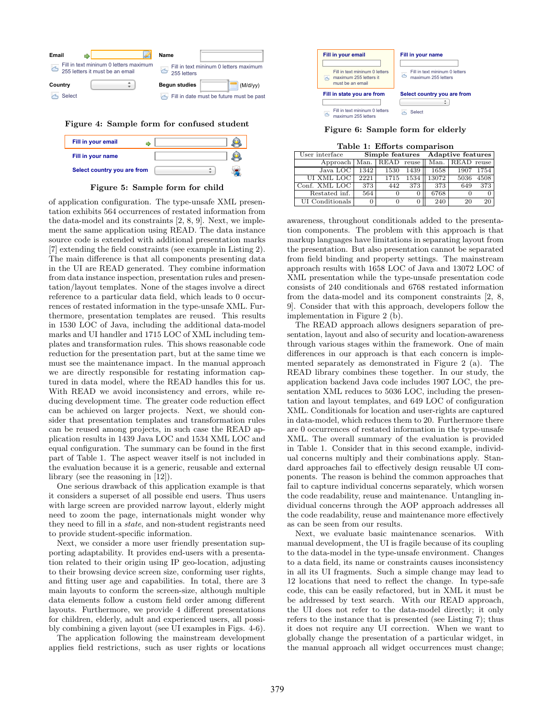

Figure 4: Sample form for confused student



Figure 5: Sample form for child

of application configuration. The type-unsafe XML presenthe data-model and its constraints  $[2, 8, 9]$ . Next, we impletation exhibits 564 occurrences of restated information from ment the same application using READ. The data instance source code is extended with additional presentation marks [7] extending the field constraints (see example in Listing 2). The main difference is that all components presenting data in the UI are READ generated. They combine information from data instance inspection, presentation rules and presentation/layout templates. None of the stages involve a direct reference to a particular data field, which leads to 0 occurrences of restated information in the type-unsafe XML. Furthermore, presentation templates are reused. This results in 1530 LOC of Java, including the additional data-model marks and UI handler and 1715 LOC of XML including templates and transformation rules. This shows reasonable code reduction for the presentation part, but at the same time we must see the maintenance impact. In the manual approach we are directly responsible for restating information captured in data model, where the READ handles this for us. With READ we avoid inconsistency and errors, while reducing development time. The greater code reduction effect can be achieved on larger projects. Next, we should consider that presentation templates and transformation rules can be reused among projects, in such case the READ application results in 1439 Java LOC and 1534 XML LOC and equal configuration. The summary can be found in the first part of Table 1. The aspect weaver itself is not included in the evaluation because it is a generic, reusable and external library (see the reasoning in [12]).

One serious drawback of this application example is that it considers a superset of all possible end users. Thus users with large screen are provided narrow layout, elderly might need to zoom the page, internationals might wonder why they need to fill in a state, and non-student registrants need to provide student-specific information.

Next, we consider a more user friendly presentation supporting adaptability. It provides end-users with a presentation related to their origin using IP geo-location, adjusting to their browsing device screen size, conforming user rights, and fitting user age and capabilities. In total, there are 3 main layouts to conform the screen-size, although multiple data elements follow a custom field order among different layouts. Furthermore, we provide 4 different presentations for children, elderly, adult and experienced users, all possibly combining a given layout (see UI examples in Figs. 4-6).

The application following the mainstream development applies field restrictions, such as user rights or locations



Figure 6: Sample form for elderly

| Table 1: Efforts comparison |                                                   |      |     |           |                                   |           |          |
|-----------------------------|---------------------------------------------------|------|-----|-----------|-----------------------------------|-----------|----------|
|                             | User interface                                    |      |     |           | Simple features Adaptive features |           |          |
|                             | Approach   Man.   READ reuse    Man.   READ reuse |      |     |           |                                   |           |          |
|                             | Java LOC                                          | 1342 |     | 1530 1439 | 1658                              | 1907 1754 |          |
|                             | UI XML LOC                                        | 2221 |     | 1715 1534 | 13072                             | 5036      | 4508     |
|                             | Conf. XML LOC                                     | 373  | 442 | $373$ II  | 373                               | 649       | 373      |
|                             | Restated inf.                                     | 564  | 0   | $^{(1)}$  | 6768                              | $\theta$  | $\Omega$ |
|                             | UI Conditionals                                   | 0    | o   | 01        | 240                               | 20        | 20       |

**Postal code**

awareness, throughout conditionals added to the presentation components. The problem with this approach is that  $\text{markup}$  languages have limitations in separating layout from the presentation. But also presentation cannot be separated from field binding and property settings. The mainstream approach results with 1658 LOC of Java and 13072 LOC of XML presentation while the type-unsafe presentation code consists of 240 conditionals and 6768 restated information from the data-model and its component constraints [2, 8, 9]. Consider that with this approach, developers follow the implementation in Figure 2 (b).

The READ approach allows designers separation of presentation, layout and also of security and location-awareness through various stages within the framework. One of main differences in our approach is that each concern is implemented separately as demonstrated in Figure 2 (a). The READ library combines these together. In our study, the application backend Java code includes 1907 LOC, the presentation XML reduces to 5036 LOC, including the presentation and layout templates, and 649 LOC of configuration XML. Conditionals for location and user-rights are captured in data-model, which reduces them to 20. Furthermore there are 0 occurrences of restated information in the type-unsafe XML. The overall summary of the evaluation is provided in Table 1. Consider that in this second example, individual concerns multiply and their combinations apply. Standard approaches fail to effectively design reusable UI components. The reason is behind the common approaches that fail to capture individual concerns separately, which worsen the code readability, reuse and maintenance. Untangling individual concerns through the AOP approach addresses all the code readability, reuse and maintenance more effectively as can be seen from our results.

Next, we evaluate basic maintenance scenarios. With manual development, the UI is fragile because of its coupling to the data-model in the type-unsafe environment. Changes to a data field, its name or constraints causes inconsistency in all its UI fragments. Such a simple change may lead to 12 locations that need to reflect the change. In type-safe code, this can be easily refactored, but in XML it must be be addressed by text search. With our READ approach, the UI does not refer to the data-model directly; it only refers to the instance that is presented (see Listing 7); thus it does not require any UI correction. When we want to globally change the presentation of a particular widget, in the manual approach all widget occurrences must change;